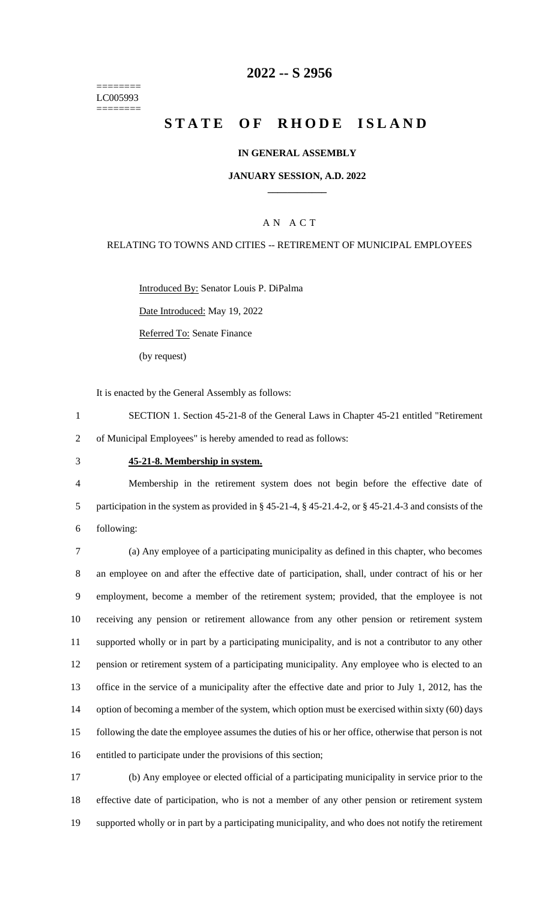======== LC005993 ========

## **2022 -- S 2956**

# **STATE OF RHODE ISLAND**

#### **IN GENERAL ASSEMBLY**

#### **JANUARY SESSION, A.D. 2022 \_\_\_\_\_\_\_\_\_\_\_\_**

### A N A C T

### RELATING TO TOWNS AND CITIES -- RETIREMENT OF MUNICIPAL EMPLOYEES

Introduced By: Senator Louis P. DiPalma

Date Introduced: May 19, 2022

Referred To: Senate Finance

(by request)

It is enacted by the General Assembly as follows:

- 1 SECTION 1. Section 45-21-8 of the General Laws in Chapter 45-21 entitled "Retirement 2 of Municipal Employees" is hereby amended to read as follows:
- 

#### 3 **45-21-8. Membership in system.**

4 Membership in the retirement system does not begin before the effective date of 5 participation in the system as provided in § 45-21-4, § 45-21.4-2, or § 45-21.4-3 and consists of the 6 following:

 (a) Any employee of a participating municipality as defined in this chapter, who becomes an employee on and after the effective date of participation, shall, under contract of his or her employment, become a member of the retirement system; provided, that the employee is not receiving any pension or retirement allowance from any other pension or retirement system supported wholly or in part by a participating municipality, and is not a contributor to any other pension or retirement system of a participating municipality. Any employee who is elected to an office in the service of a municipality after the effective date and prior to July 1, 2012, has the 14 option of becoming a member of the system, which option must be exercised within sixty (60) days following the date the employee assumes the duties of his or her office, otherwise that person is not entitled to participate under the provisions of this section;

17 (b) Any employee or elected official of a participating municipality in service prior to the 18 effective date of participation, who is not a member of any other pension or retirement system 19 supported wholly or in part by a participating municipality, and who does not notify the retirement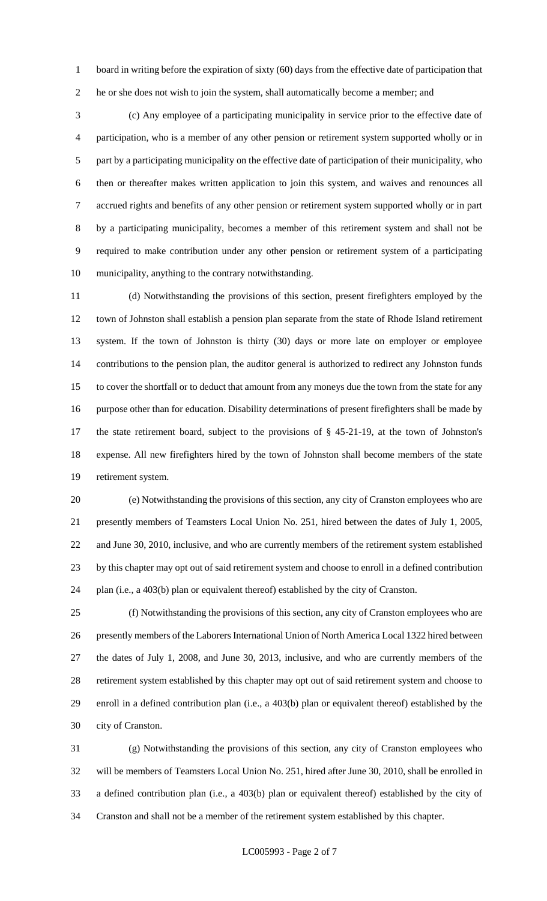1 board in writing before the expiration of sixty (60) days from the effective date of participation that he or she does not wish to join the system, shall automatically become a member; and

 (c) Any employee of a participating municipality in service prior to the effective date of participation, who is a member of any other pension or retirement system supported wholly or in part by a participating municipality on the effective date of participation of their municipality, who then or thereafter makes written application to join this system, and waives and renounces all accrued rights and benefits of any other pension or retirement system supported wholly or in part by a participating municipality, becomes a member of this retirement system and shall not be required to make contribution under any other pension or retirement system of a participating municipality, anything to the contrary notwithstanding.

 (d) Notwithstanding the provisions of this section, present firefighters employed by the town of Johnston shall establish a pension plan separate from the state of Rhode Island retirement system. If the town of Johnston is thirty (30) days or more late on employer or employee contributions to the pension plan, the auditor general is authorized to redirect any Johnston funds to cover the shortfall or to deduct that amount from any moneys due the town from the state for any purpose other than for education. Disability determinations of present firefighters shall be made by the state retirement board, subject to the provisions of § 45-21-19, at the town of Johnston's expense. All new firefighters hired by the town of Johnston shall become members of the state retirement system.

 (e) Notwithstanding the provisions of this section, any city of Cranston employees who are presently members of Teamsters Local Union No. 251, hired between the dates of July 1, 2005, and June 30, 2010, inclusive, and who are currently members of the retirement system established by this chapter may opt out of said retirement system and choose to enroll in a defined contribution plan (i.e., a 403(b) plan or equivalent thereof) established by the city of Cranston.

 (f) Notwithstanding the provisions of this section, any city of Cranston employees who are presently members of the Laborers International Union of North America Local 1322 hired between the dates of July 1, 2008, and June 30, 2013, inclusive, and who are currently members of the retirement system established by this chapter may opt out of said retirement system and choose to enroll in a defined contribution plan (i.e., a 403(b) plan or equivalent thereof) established by the city of Cranston.

 (g) Notwithstanding the provisions of this section, any city of Cranston employees who will be members of Teamsters Local Union No. 251, hired after June 30, 2010, shall be enrolled in a defined contribution plan (i.e., a 403(b) plan or equivalent thereof) established by the city of Cranston and shall not be a member of the retirement system established by this chapter.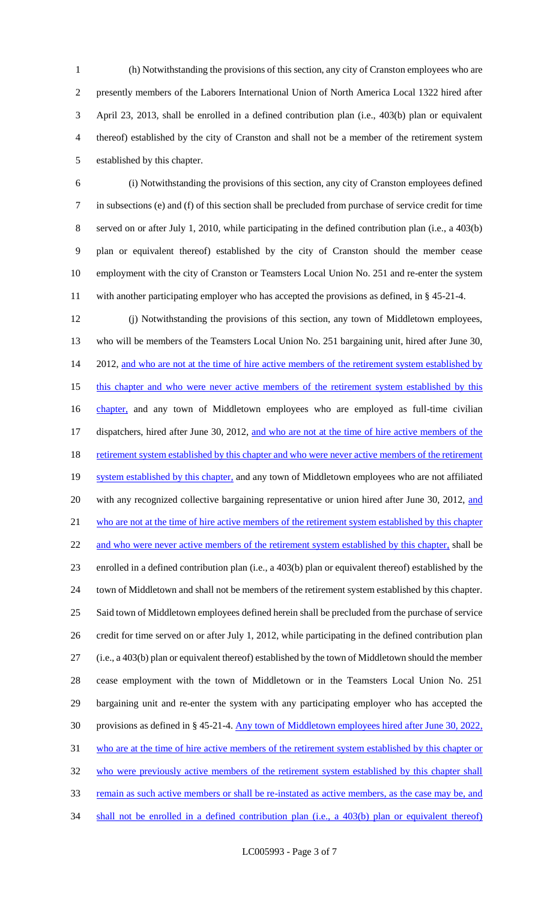(h) Notwithstanding the provisions of this section, any city of Cranston employees who are presently members of the Laborers International Union of North America Local 1322 hired after April 23, 2013, shall be enrolled in a defined contribution plan (i.e., 403(b) plan or equivalent thereof) established by the city of Cranston and shall not be a member of the retirement system established by this chapter.

 (i) Notwithstanding the provisions of this section, any city of Cranston employees defined in subsections (e) and (f) of this section shall be precluded from purchase of service credit for time served on or after July 1, 2010, while participating in the defined contribution plan (i.e., a 403(b) plan or equivalent thereof) established by the city of Cranston should the member cease employment with the city of Cranston or Teamsters Local Union No. 251 and re-enter the system with another participating employer who has accepted the provisions as defined, in § 45-21-4.

 (j) Notwithstanding the provisions of this section, any town of Middletown employees, who will be members of the Teamsters Local Union No. 251 bargaining unit, hired after June 30, 14 2012, and who are not at the time of hire active members of the retirement system established by 15 this chapter and who were never active members of the retirement system established by this 16 chapter, and any town of Middletown employees who are employed as full-time civilian 17 dispatchers, hired after June 30, 2012, and who are not at the time of hire active members of the 18 retirement system established by this chapter and who were never active members of the retirement 19 system established by this chapter, and any town of Middletown employees who are not affiliated 20 with any recognized collective bargaining representative or union hired after June 30, 2012, and who are not at the time of hire active members of the retirement system established by this chapter 22 and who were never active members of the retirement system established by this chapter, shall be enrolled in a defined contribution plan (i.e., a 403(b) plan or equivalent thereof) established by the town of Middletown and shall not be members of the retirement system established by this chapter. Said town of Middletown employees defined herein shall be precluded from the purchase of service credit for time served on or after July 1, 2012, while participating in the defined contribution plan (i.e., a 403(b) plan or equivalent thereof) established by the town of Middletown should the member cease employment with the town of Middletown or in the Teamsters Local Union No. 251 bargaining unit and re-enter the system with any participating employer who has accepted the provisions as defined in § 45-21-4. Any town of Middletown employees hired after June 30, 2022, who are at the time of hire active members of the retirement system established by this chapter or 32 who were previously active members of the retirement system established by this chapter shall 33 remain as such active members or shall be re-instated as active members, as the case may be, and 34 shall not be enrolled in a defined contribution plan (i.e., a 403(b) plan or equivalent thereof)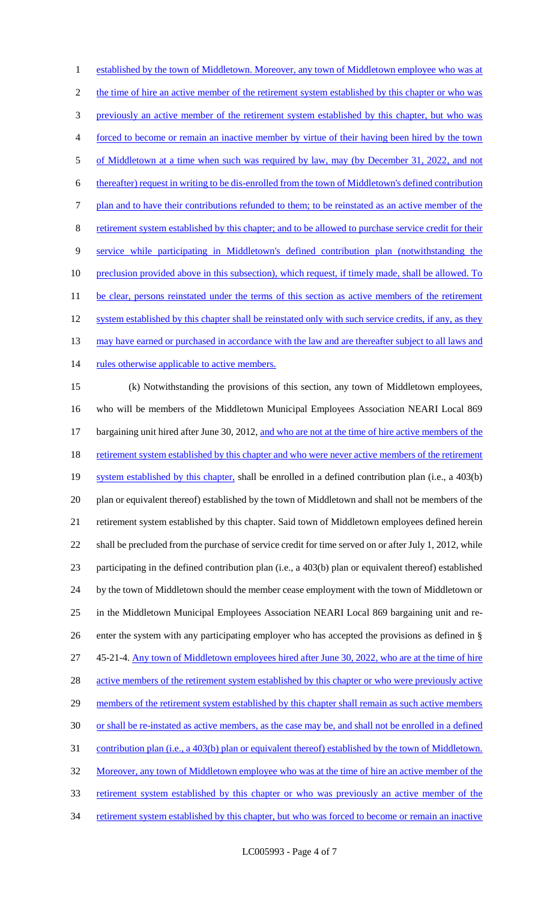established by the town of Middletown. Moreover, any town of Middletown employee who was at 2 the time of hire an active member of the retirement system established by this chapter or who was previously an active member of the retirement system established by this chapter, but who was forced to become or remain an inactive member by virtue of their having been hired by the town 5 of Middletown at a time when such was required by law, may (by December 31, 2022, and not thereafter) request in writing to be dis-enrolled from the town of Middletown's defined contribution plan and to have their contributions refunded to them; to be reinstated as an active member of the retirement system established by this chapter; and to be allowed to purchase service credit for their service while participating in Middletown's defined contribution plan (notwithstanding the 10 preclusion provided above in this subsection), which request, if timely made, shall be allowed. To 11 be clear, persons reinstated under the terms of this section as active members of the retirement 12 system established by this chapter shall be reinstated only with such service credits, if any, as they 13 may have earned or purchased in accordance with the law and are thereafter subject to all laws and 14 rules otherwise applicable to active members. (k) Notwithstanding the provisions of this section, any town of Middletown employees, who will be members of the Middletown Municipal Employees Association NEARI Local 869 17 bargaining unit hired after June 30, 2012, and who are not at the time of hire active members of the 18 retirement system established by this chapter and who were never active members of the retirement 19 system established by this chapter, shall be enrolled in a defined contribution plan (i.e., a 403(b) plan or equivalent thereof) established by the town of Middletown and shall not be members of the retirement system established by this chapter. Said town of Middletown employees defined herein shall be precluded from the purchase of service credit for time served on or after July 1, 2012, while participating in the defined contribution plan (i.e., a 403(b) plan or equivalent thereof) established by the town of Middletown should the member cease employment with the town of Middletown or in the Middletown Municipal Employees Association NEARI Local 869 bargaining unit and re- enter the system with any participating employer who has accepted the provisions as defined in § 45-21-4. Any town of Middletown employees hired after June 30, 2022, who are at the time of hire 28 active members of the retirement system established by this chapter or who were previously active 29 members of the retirement system established by this chapter shall remain as such active members or shall be re-instated as active members, as the case may be, and shall not be enrolled in a defined contribution plan (i.e., a 403(b) plan or equivalent thereof) established by the town of Middletown. 32 Moreover, any town of Middletown employee who was at the time of hire an active member of the retirement system established by this chapter or who was previously an active member of the

34 retirement system established by this chapter, but who was forced to become or remain an inactive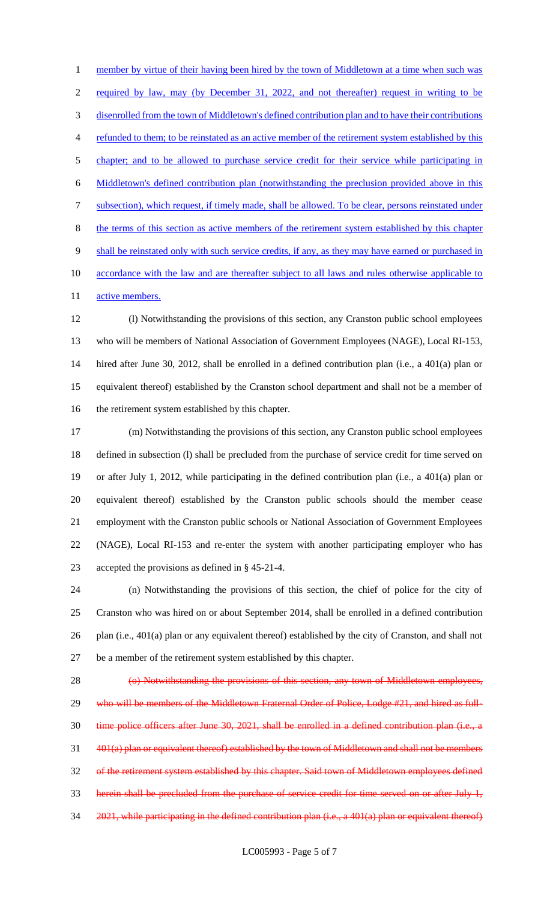1 member by virtue of their having been hired by the town of Middletown at a time when such was required by law, may (by December 31, 2022, and not thereafter) request in writing to be disenrolled from the town of Middletown's defined contribution plan and to have their contributions refunded to them; to be reinstated as an active member of the retirement system established by this chapter; and to be allowed to purchase service credit for their service while participating in Middletown's defined contribution plan (notwithstanding the preclusion provided above in this subsection), which request, if timely made, shall be allowed. To be clear, persons reinstated under the terms of this section as active members of the retirement system established by this chapter shall be reinstated only with such service credits, if any, as they may have earned or purchased in 10 accordance with the law and are thereafter subject to all laws and rules otherwise applicable to 11 active members.

 (l) Notwithstanding the provisions of this section, any Cranston public school employees who will be members of National Association of Government Employees (NAGE), Local RI-153, hired after June 30, 2012, shall be enrolled in a defined contribution plan (i.e., a 401(a) plan or equivalent thereof) established by the Cranston school department and shall not be a member of the retirement system established by this chapter.

 (m) Notwithstanding the provisions of this section, any Cranston public school employees defined in subsection (l) shall be precluded from the purchase of service credit for time served on or after July 1, 2012, while participating in the defined contribution plan (i.e., a 401(a) plan or equivalent thereof) established by the Cranston public schools should the member cease employment with the Cranston public schools or National Association of Government Employees (NAGE), Local RI-153 and re-enter the system with another participating employer who has accepted the provisions as defined in § 45-21-4.

 (n) Notwithstanding the provisions of this section, the chief of police for the city of Cranston who was hired on or about September 2014, shall be enrolled in a defined contribution plan (i.e., 401(a) plan or any equivalent thereof) established by the city of Cranston, and shall not be a member of the retirement system established by this chapter.

 (o) Notwithstanding the provisions of this section, any town of Middletown employees, 29 who will be members of the Middletown Fraternal Order of Police, Lodge #21, and hired as full- time police officers after June 30, 2021, shall be enrolled in a defined contribution plan (i.e., a 401(a) plan or equivalent thereof) established by the town of Middletown and shall not be members of the retirement system established by this chapter. Said town of Middletown employees defined herein shall be precluded from the purchase of service credit for time served on or after July 1, 34 2021, while participating in the defined contribution plan (i.e., a 401(a) plan or equivalent thereof)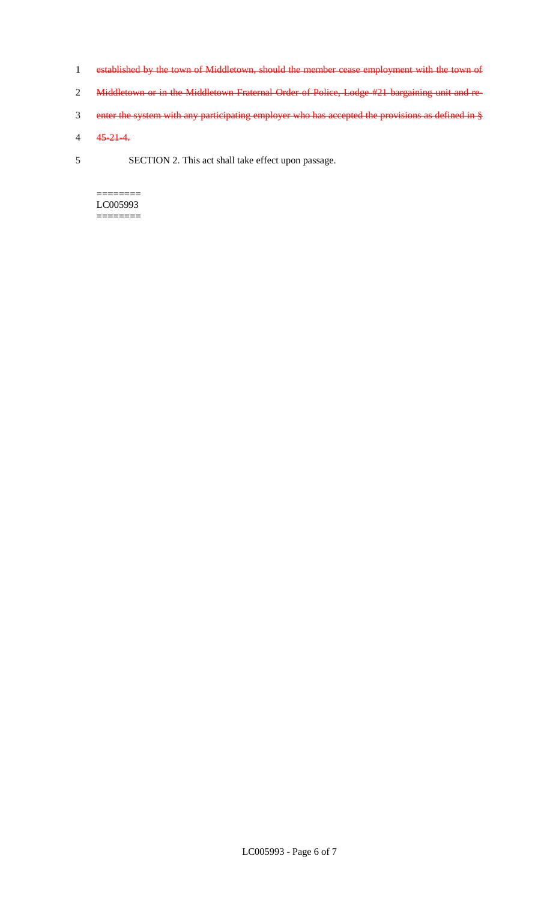- 1 established by the town of Middletown, should the member cease employment with the town of
- 2 Middletown or in the Middletown Fraternal Order of Police, Lodge #21 bargaining unit and re-
- 3 enter the system with any participating employer who has accepted the provisions as defined in §
- 4 45-21-4.
- 5 SECTION 2. This act shall take effect upon passage.

 $=$ LC005993 ========